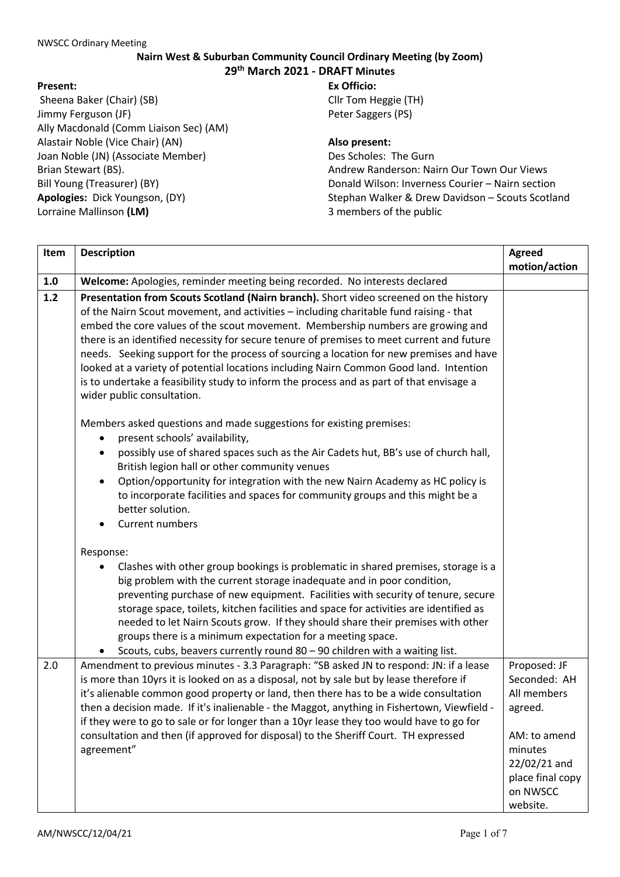## **Nairn West & Suburban Community Council Ordinary Meeting (by Zoom) 29th March 2021 - DRAFT Minutes**

## **Present:**

Sheena Baker (Chair) (SB) Jimmy Ferguson (JF) Ally Macdonald (Comm Liaison Sec) (AM) Alastair Noble (Vice Chair) (AN) Joan Noble (JN) (Associate Member) Brian Stewart (BS). Bill Young (Treasurer) (BY) **Apologies:** Dick Youngson, (DY) Lorraine Mallinson **(LM)**

## **Ex Officio:** Cllr Tom Heggie (TH) Peter Saggers (PS)

**Also present:** 

Des Scholes: The Gurn Andrew Randerson: Nairn Our Town Our Views Donald Wilson: Inverness Courier – Nairn section Stephan Walker & Drew Davidson – Scouts Scotland 3 members of the public

| Item | <b>Description</b>                                                                                                                                                                                                                                                                                                                                                                                                                                                                                                                                                                                                                                                             | <b>Agreed</b><br>motion/action                                                                                                                |
|------|--------------------------------------------------------------------------------------------------------------------------------------------------------------------------------------------------------------------------------------------------------------------------------------------------------------------------------------------------------------------------------------------------------------------------------------------------------------------------------------------------------------------------------------------------------------------------------------------------------------------------------------------------------------------------------|-----------------------------------------------------------------------------------------------------------------------------------------------|
| 1.0  | Welcome: Apologies, reminder meeting being recorded. No interests declared                                                                                                                                                                                                                                                                                                                                                                                                                                                                                                                                                                                                     |                                                                                                                                               |
| 1.2  | Presentation from Scouts Scotland (Nairn branch). Short video screened on the history<br>of the Nairn Scout movement, and activities - including charitable fund raising - that<br>embed the core values of the scout movement. Membership numbers are growing and<br>there is an identified necessity for secure tenure of premises to meet current and future<br>needs. Seeking support for the process of sourcing a location for new premises and have<br>looked at a variety of potential locations including Nairn Common Good land. Intention<br>is to undertake a feasibility study to inform the process and as part of that envisage a<br>wider public consultation. |                                                                                                                                               |
|      | Members asked questions and made suggestions for existing premises:<br>present schools' availability,<br>possibly use of shared spaces such as the Air Cadets hut, BB's use of church hall,<br>British legion hall or other community venues<br>Option/opportunity for integration with the new Nairn Academy as HC policy is<br>to incorporate facilities and spaces for community groups and this might be a<br>better solution.<br>Current numbers                                                                                                                                                                                                                          |                                                                                                                                               |
|      | Response:<br>Clashes with other group bookings is problematic in shared premises, storage is a<br>big problem with the current storage inadequate and in poor condition,<br>preventing purchase of new equipment. Facilities with security of tenure, secure<br>storage space, toilets, kitchen facilities and space for activities are identified as<br>needed to let Nairn Scouts grow. If they should share their premises with other<br>groups there is a minimum expectation for a meeting space.<br>Scouts, cubs, beavers currently round 80 - 90 children with a waiting list.                                                                                          |                                                                                                                                               |
| 2.0  | Amendment to previous minutes - 3.3 Paragraph: "SB asked JN to respond: JN: if a lease<br>is more than 10yrs it is looked on as a disposal, not by sale but by lease therefore if<br>it's alienable common good property or land, then there has to be a wide consultation<br>then a decision made. If it's inalienable - the Maggot, anything in Fishertown, Viewfield -<br>if they were to go to sale or for longer than a 10yr lease they too would have to go for<br>consultation and then (if approved for disposal) to the Sheriff Court. TH expressed<br>agreement"                                                                                                     | Proposed: JF<br>Seconded: AH<br>All members<br>agreed.<br>AM: to amend<br>minutes<br>22/02/21 and<br>place final copy<br>on NWSCC<br>website. |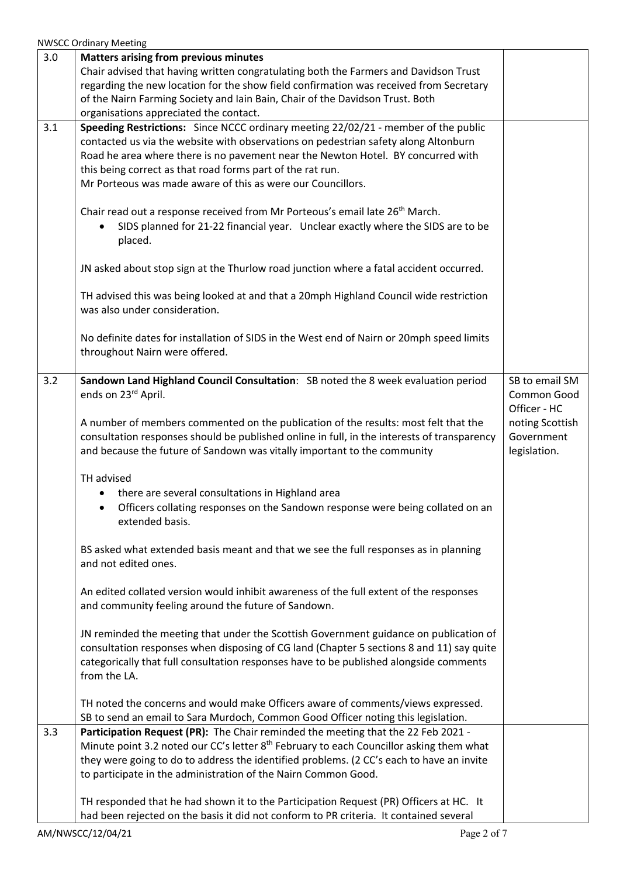NWSCC Ordinary Meeting

| 3.0 | <b>Matters arising from previous minutes</b>                                                                                                                                                    |                                 |
|-----|-------------------------------------------------------------------------------------------------------------------------------------------------------------------------------------------------|---------------------------------|
|     | Chair advised that having written congratulating both the Farmers and Davidson Trust<br>regarding the new location for the show field confirmation was received from Secretary                  |                                 |
|     | of the Nairn Farming Society and Iain Bain, Chair of the Davidson Trust. Both<br>organisations appreciated the contact.                                                                         |                                 |
| 3.1 | Speeding Restrictions: Since NCCC ordinary meeting 22/02/21 - member of the public                                                                                                              |                                 |
|     | contacted us via the website with observations on pedestrian safety along Altonburn                                                                                                             |                                 |
|     | Road he area where there is no pavement near the Newton Hotel. BY concurred with<br>this being correct as that road forms part of the rat run.                                                  |                                 |
|     | Mr Porteous was made aware of this as were our Councillors.                                                                                                                                     |                                 |
|     |                                                                                                                                                                                                 |                                 |
|     | Chair read out a response received from Mr Porteous's email late 26 <sup>th</sup> March.<br>SIDS planned for 21-22 financial year. Unclear exactly where the SIDS are to be                     |                                 |
|     | placed.                                                                                                                                                                                         |                                 |
|     | JN asked about stop sign at the Thurlow road junction where a fatal accident occurred.                                                                                                          |                                 |
|     | TH advised this was being looked at and that a 20mph Highland Council wide restriction<br>was also under consideration.                                                                         |                                 |
|     |                                                                                                                                                                                                 |                                 |
|     | No definite dates for installation of SIDS in the West end of Nairn or 20mph speed limits<br>throughout Nairn were offered.                                                                     |                                 |
| 3.2 | Sandown Land Highland Council Consultation: SB noted the 8 week evaluation period                                                                                                               | SB to email SM                  |
|     | ends on 23rd April.                                                                                                                                                                             | Common Good                     |
|     | A number of members commented on the publication of the results: most felt that the                                                                                                             | Officer - HC<br>noting Scottish |
|     | consultation responses should be published online in full, in the interests of transparency                                                                                                     | Government                      |
|     | and because the future of Sandown was vitally important to the community                                                                                                                        | legislation.                    |
|     | TH advised                                                                                                                                                                                      |                                 |
|     | there are several consultations in Highland area                                                                                                                                                |                                 |
|     | Officers collating responses on the Sandown response were being collated on an<br>extended basis.                                                                                               |                                 |
|     | BS asked what extended basis meant and that we see the full responses as in planning                                                                                                            |                                 |
|     | and not edited ones.                                                                                                                                                                            |                                 |
|     | An edited collated version would inhibit awareness of the full extent of the responses<br>and community feeling around the future of Sandown.                                                   |                                 |
|     | JN reminded the meeting that under the Scottish Government guidance on publication of                                                                                                           |                                 |
|     | consultation responses when disposing of CG land (Chapter 5 sections 8 and 11) say quite                                                                                                        |                                 |
|     | categorically that full consultation responses have to be published alongside comments                                                                                                          |                                 |
|     | from the LA.                                                                                                                                                                                    |                                 |
|     | TH noted the concerns and would make Officers aware of comments/views expressed.                                                                                                                |                                 |
|     | SB to send an email to Sara Murdoch, Common Good Officer noting this legislation.                                                                                                               |                                 |
| 3.3 | Participation Request (PR): The Chair reminded the meeting that the 22 Feb 2021 -                                                                                                               |                                 |
|     | Minute point 3.2 noted our CC's letter 8 <sup>th</sup> February to each Councillor asking them what<br>they were going to do to address the identified problems. (2 CC's each to have an invite |                                 |
|     | to participate in the administration of the Nairn Common Good.                                                                                                                                  |                                 |
|     |                                                                                                                                                                                                 |                                 |
|     | TH responded that he had shown it to the Participation Request (PR) Officers at HC. It                                                                                                          |                                 |
|     | had been rejected on the basis it did not conform to PR criteria. It contained several                                                                                                          |                                 |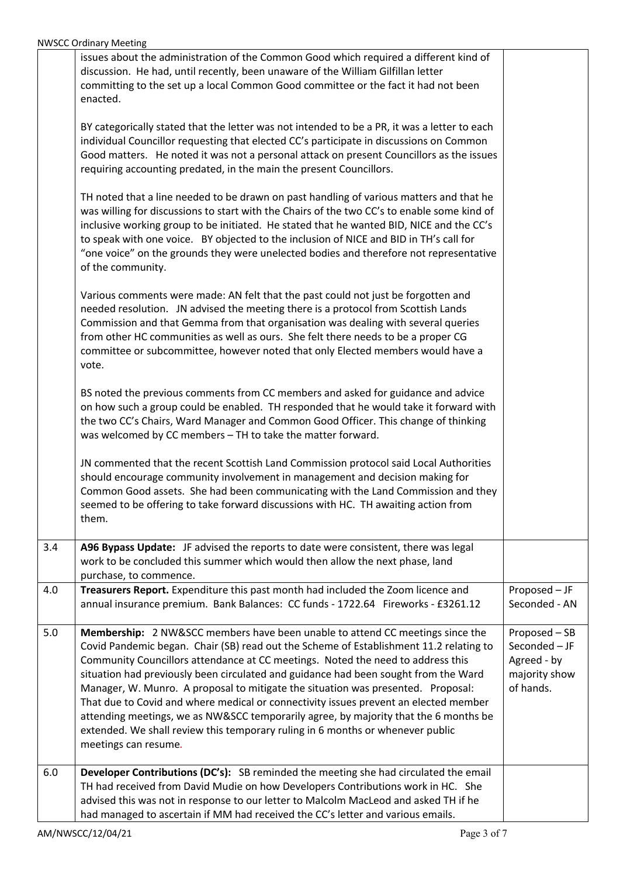|     | issues about the administration of the Common Good which required a different kind of                                                                                     |               |
|-----|---------------------------------------------------------------------------------------------------------------------------------------------------------------------------|---------------|
|     | discussion. He had, until recently, been unaware of the William Gilfillan letter<br>committing to the set up a local Common Good committee or the fact it had not been    |               |
|     | enacted.                                                                                                                                                                  |               |
|     |                                                                                                                                                                           |               |
|     | BY categorically stated that the letter was not intended to be a PR, it was a letter to each                                                                              |               |
|     | individual Councillor requesting that elected CC's participate in discussions on Common                                                                                   |               |
|     | Good matters. He noted it was not a personal attack on present Councillors as the issues                                                                                  |               |
|     | requiring accounting predated, in the main the present Councillors.                                                                                                       |               |
|     | TH noted that a line needed to be drawn on past handling of various matters and that he                                                                                   |               |
|     | was willing for discussions to start with the Chairs of the two CC's to enable some kind of                                                                               |               |
|     | inclusive working group to be initiated. He stated that he wanted BID, NICE and the CC's                                                                                  |               |
|     | to speak with one voice. BY objected to the inclusion of NICE and BID in TH's call for                                                                                    |               |
|     | "one voice" on the grounds they were unelected bodies and therefore not representative                                                                                    |               |
|     | of the community.                                                                                                                                                         |               |
|     |                                                                                                                                                                           |               |
|     | Various comments were made: AN felt that the past could not just be forgotten and<br>needed resolution. JN advised the meeting there is a protocol from Scottish Lands    |               |
|     | Commission and that Gemma from that organisation was dealing with several queries                                                                                         |               |
|     | from other HC communities as well as ours. She felt there needs to be a proper CG                                                                                         |               |
|     | committee or subcommittee, however noted that only Elected members would have a                                                                                           |               |
|     | vote.                                                                                                                                                                     |               |
|     |                                                                                                                                                                           |               |
|     | BS noted the previous comments from CC members and asked for guidance and advice<br>on how such a group could be enabled. TH responded that he would take it forward with |               |
|     | the two CC's Chairs, Ward Manager and Common Good Officer. This change of thinking                                                                                        |               |
|     | was welcomed by CC members - TH to take the matter forward.                                                                                                               |               |
|     |                                                                                                                                                                           |               |
|     | JN commented that the recent Scottish Land Commission protocol said Local Authorities                                                                                     |               |
|     | should encourage community involvement in management and decision making for                                                                                              |               |
|     | Common Good assets. She had been communicating with the Land Commission and they                                                                                          |               |
|     | seemed to be offering to take forward discussions with HC. TH awaiting action from<br>them.                                                                               |               |
|     |                                                                                                                                                                           |               |
| 3.4 | A96 Bypass Update: JF advised the reports to date were consistent, there was legal                                                                                        |               |
|     | work to be concluded this summer which would then allow the next phase, land                                                                                              |               |
|     | purchase, to commence.                                                                                                                                                    |               |
| 4.0 | Treasurers Report. Expenditure this past month had included the Zoom licence and                                                                                          | Proposed - JF |
|     | annual insurance premium. Bank Balances: CC funds - 1722.64 Fireworks - £3261.12                                                                                          | Seconded - AN |
| 5.0 | Membership: 2 NW&SCC members have been unable to attend CC meetings since the                                                                                             | Proposed - SB |
|     | Covid Pandemic began. Chair (SB) read out the Scheme of Establishment 11.2 relating to                                                                                    | Seconded - JF |
|     | Community Councillors attendance at CC meetings. Noted the need to address this                                                                                           | Agreed - by   |
|     | situation had previously been circulated and guidance had been sought from the Ward                                                                                       | majority show |
|     | Manager, W. Munro. A proposal to mitigate the situation was presented. Proposal:                                                                                          | of hands.     |
|     | That due to Covid and where medical or connectivity issues prevent an elected member                                                                                      |               |
|     | attending meetings, we as NW&SCC temporarily agree, by majority that the 6 months be                                                                                      |               |
|     | extended. We shall review this temporary ruling in 6 months or whenever public                                                                                            |               |
|     | meetings can resume.                                                                                                                                                      |               |
| 6.0 | Developer Contributions (DC's): SB reminded the meeting she had circulated the email                                                                                      |               |
|     | TH had received from David Mudie on how Developers Contributions work in HC. She                                                                                          |               |
|     | advised this was not in response to our letter to Malcolm MacLeod and asked TH if he                                                                                      |               |
|     | had managed to ascertain if MM had received the CC's letter and various emails.                                                                                           |               |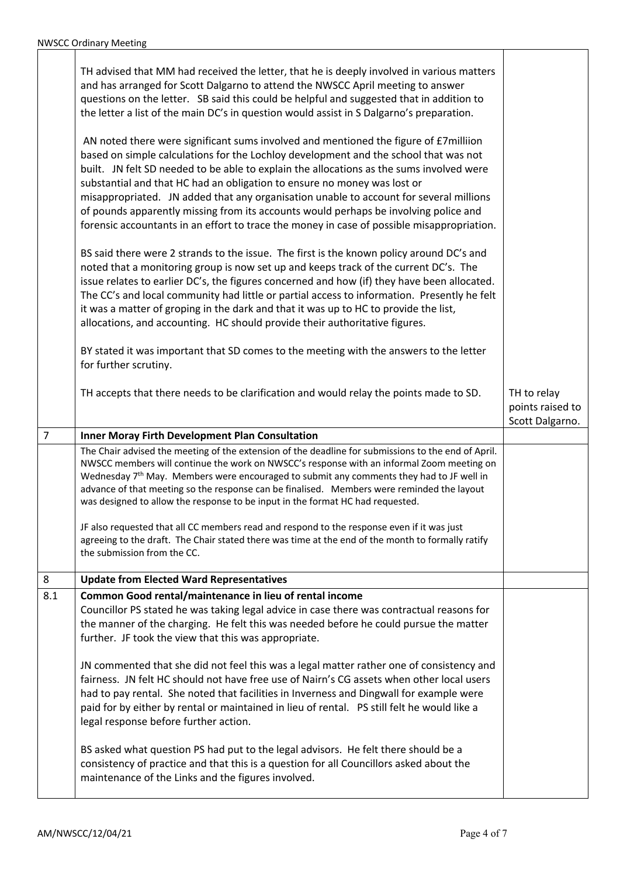|                | TH advised that MM had received the letter, that he is deeply involved in various matters<br>and has arranged for Scott Dalgarno to attend the NWSCC April meeting to answer<br>questions on the letter. SB said this could be helpful and suggested that in addition to<br>the letter a list of the main DC's in question would assist in S Dalgarno's preparation.<br>AN noted there were significant sums involved and mentioned the figure of £7milliion<br>based on simple calculations for the Lochloy development and the school that was not<br>built. JN felt SD needed to be able to explain the allocations as the sums involved were<br>substantial and that HC had an obligation to ensure no money was lost or<br>misappropriated. JN added that any organisation unable to account for several millions<br>of pounds apparently missing from its accounts would perhaps be involving police and<br>forensic accountants in an effort to trace the money in case of possible misappropriation.<br>BS said there were 2 strands to the issue. The first is the known policy around DC's and<br>noted that a monitoring group is now set up and keeps track of the current DC's. The<br>issue relates to earlier DC's, the figures concerned and how (if) they have been allocated.<br>The CC's and local community had little or partial access to information. Presently he felt<br>it was a matter of groping in the dark and that it was up to HC to provide the list,<br>allocations, and accounting. HC should provide their authoritative figures. |                                                    |
|----------------|-----------------------------------------------------------------------------------------------------------------------------------------------------------------------------------------------------------------------------------------------------------------------------------------------------------------------------------------------------------------------------------------------------------------------------------------------------------------------------------------------------------------------------------------------------------------------------------------------------------------------------------------------------------------------------------------------------------------------------------------------------------------------------------------------------------------------------------------------------------------------------------------------------------------------------------------------------------------------------------------------------------------------------------------------------------------------------------------------------------------------------------------------------------------------------------------------------------------------------------------------------------------------------------------------------------------------------------------------------------------------------------------------------------------------------------------------------------------------------------------------------------------------------------------------------------------------|----------------------------------------------------|
|                | BY stated it was important that SD comes to the meeting with the answers to the letter<br>for further scrutiny.                                                                                                                                                                                                                                                                                                                                                                                                                                                                                                                                                                                                                                                                                                                                                                                                                                                                                                                                                                                                                                                                                                                                                                                                                                                                                                                                                                                                                                                       |                                                    |
|                | TH accepts that there needs to be clarification and would relay the points made to SD.                                                                                                                                                                                                                                                                                                                                                                                                                                                                                                                                                                                                                                                                                                                                                                                                                                                                                                                                                                                                                                                                                                                                                                                                                                                                                                                                                                                                                                                                                | TH to relay<br>points raised to<br>Scott Dalgarno. |
| $\overline{7}$ | Inner Moray Firth Development Plan Consultation                                                                                                                                                                                                                                                                                                                                                                                                                                                                                                                                                                                                                                                                                                                                                                                                                                                                                                                                                                                                                                                                                                                                                                                                                                                                                                                                                                                                                                                                                                                       |                                                    |
|                | The Chair advised the meeting of the extension of the deadline for submissions to the end of April.<br>NWSCC members will continue the work on NWSCC's response with an informal Zoom meeting on<br>Wednesday 7 <sup>th</sup> May. Members were encouraged to submit any comments they had to JF well in<br>advance of that meeting so the response can be finalised. Members were reminded the layout<br>was designed to allow the response to be input in the format HC had requested.<br>JF also requested that all CC members read and respond to the response even if it was just<br>agreeing to the draft. The Chair stated there was time at the end of the month to formally ratify<br>the submission from the CC.                                                                                                                                                                                                                                                                                                                                                                                                                                                                                                                                                                                                                                                                                                                                                                                                                                            |                                                    |
| 8              | <b>Update from Elected Ward Representatives</b>                                                                                                                                                                                                                                                                                                                                                                                                                                                                                                                                                                                                                                                                                                                                                                                                                                                                                                                                                                                                                                                                                                                                                                                                                                                                                                                                                                                                                                                                                                                       |                                                    |
| 8.1            | Common Good rental/maintenance in lieu of rental income<br>Councillor PS stated he was taking legal advice in case there was contractual reasons for<br>the manner of the charging. He felt this was needed before he could pursue the matter<br>further. JF took the view that this was appropriate.                                                                                                                                                                                                                                                                                                                                                                                                                                                                                                                                                                                                                                                                                                                                                                                                                                                                                                                                                                                                                                                                                                                                                                                                                                                                 |                                                    |
|                | JN commented that she did not feel this was a legal matter rather one of consistency and<br>fairness. JN felt HC should not have free use of Nairn's CG assets when other local users<br>had to pay rental. She noted that facilities in Inverness and Dingwall for example were<br>paid for by either by rental or maintained in lieu of rental. PS still felt he would like a<br>legal response before further action.                                                                                                                                                                                                                                                                                                                                                                                                                                                                                                                                                                                                                                                                                                                                                                                                                                                                                                                                                                                                                                                                                                                                              |                                                    |
|                | BS asked what question PS had put to the legal advisors. He felt there should be a<br>consistency of practice and that this is a question for all Councillors asked about the<br>maintenance of the Links and the figures involved.                                                                                                                                                                                                                                                                                                                                                                                                                                                                                                                                                                                                                                                                                                                                                                                                                                                                                                                                                                                                                                                                                                                                                                                                                                                                                                                                   |                                                    |

Т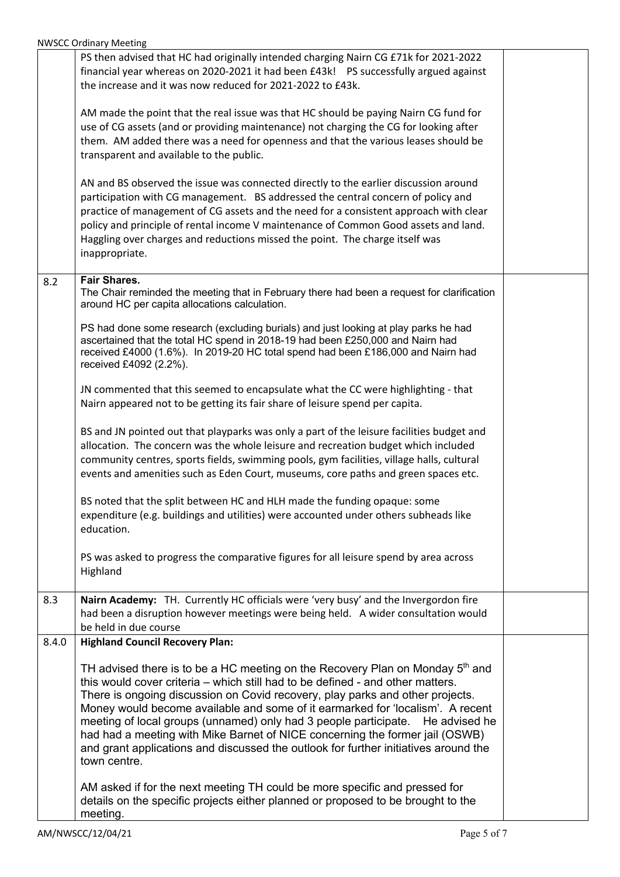|       | <b>YVVJCC OFUNIOLY IVICCUITA</b>                                                                                                                                                                                                                                                                                                                                                                                                                                                                                                                                                                                           |  |
|-------|----------------------------------------------------------------------------------------------------------------------------------------------------------------------------------------------------------------------------------------------------------------------------------------------------------------------------------------------------------------------------------------------------------------------------------------------------------------------------------------------------------------------------------------------------------------------------------------------------------------------------|--|
|       | PS then advised that HC had originally intended charging Nairn CG £71k for 2021-2022<br>financial year whereas on 2020-2021 it had been £43k! PS successfully argued against<br>the increase and it was now reduced for 2021-2022 to £43k.                                                                                                                                                                                                                                                                                                                                                                                 |  |
|       | AM made the point that the real issue was that HC should be paying Nairn CG fund for<br>use of CG assets (and or providing maintenance) not charging the CG for looking after<br>them. AM added there was a need for openness and that the various leases should be<br>transparent and available to the public.                                                                                                                                                                                                                                                                                                            |  |
|       | AN and BS observed the issue was connected directly to the earlier discussion around<br>participation with CG management. BS addressed the central concern of policy and<br>practice of management of CG assets and the need for a consistent approach with clear<br>policy and principle of rental income V maintenance of Common Good assets and land.<br>Haggling over charges and reductions missed the point. The charge itself was<br>inappropriate.                                                                                                                                                                 |  |
| 8.2   | <b>Fair Shares.</b><br>The Chair reminded the meeting that in February there had been a request for clarification<br>around HC per capita allocations calculation.                                                                                                                                                                                                                                                                                                                                                                                                                                                         |  |
|       | PS had done some research (excluding burials) and just looking at play parks he had<br>ascertained that the total HC spend in 2018-19 had been £250,000 and Nairn had<br>received £4000 (1.6%). In 2019-20 HC total spend had been £186,000 and Nairn had<br>received £4092 (2.2%).                                                                                                                                                                                                                                                                                                                                        |  |
|       | JN commented that this seemed to encapsulate what the CC were highlighting - that<br>Nairn appeared not to be getting its fair share of leisure spend per capita.                                                                                                                                                                                                                                                                                                                                                                                                                                                          |  |
|       | BS and JN pointed out that playparks was only a part of the leisure facilities budget and<br>allocation. The concern was the whole leisure and recreation budget which included<br>community centres, sports fields, swimming pools, gym facilities, village halls, cultural<br>events and amenities such as Eden Court, museums, core paths and green spaces etc.                                                                                                                                                                                                                                                         |  |
|       | BS noted that the split between HC and HLH made the funding opaque: some<br>expenditure (e.g. buildings and utilities) were accounted under others subheads like<br>education.                                                                                                                                                                                                                                                                                                                                                                                                                                             |  |
|       | PS was asked to progress the comparative figures for all leisure spend by area across<br>Highland                                                                                                                                                                                                                                                                                                                                                                                                                                                                                                                          |  |
| 8.3   | Nairn Academy: TH. Currently HC officials were 'very busy' and the Invergordon fire<br>had been a disruption however meetings were being held. A wider consultation would<br>be held in due course                                                                                                                                                                                                                                                                                                                                                                                                                         |  |
| 8.4.0 | <b>Highland Council Recovery Plan:</b>                                                                                                                                                                                                                                                                                                                                                                                                                                                                                                                                                                                     |  |
|       | TH advised there is to be a HC meeting on the Recovery Plan on Monday 5 <sup>th</sup> and<br>this would cover criteria - which still had to be defined - and other matters.<br>There is ongoing discussion on Covid recovery, play parks and other projects.<br>Money would become available and some of it earmarked for 'localism'. A recent<br>meeting of local groups (unnamed) only had 3 people participate.<br>He advised he<br>had had a meeting with Mike Barnet of NICE concerning the former jail (OSWB)<br>and grant applications and discussed the outlook for further initiatives around the<br>town centre. |  |
|       | AM asked if for the next meeting TH could be more specific and pressed for<br>details on the specific projects either planned or proposed to be brought to the<br>meeting.                                                                                                                                                                                                                                                                                                                                                                                                                                                 |  |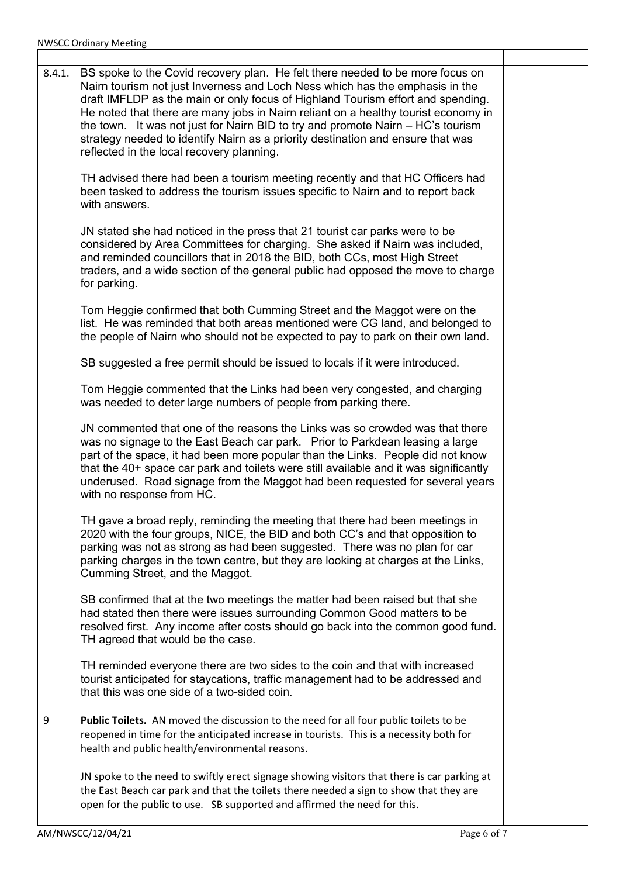| 8.4.1. | BS spoke to the Covid recovery plan. He felt there needed to be more focus on<br>Nairn tourism not just Inverness and Loch Ness which has the emphasis in the<br>draft IMFLDP as the main or only focus of Highland Tourism effort and spending.<br>He noted that there are many jobs in Nairn reliant on a healthy tourist economy in<br>the town. It was not just for Nairn BID to try and promote Nairn - HC's tourism<br>strategy needed to identify Nairn as a priority destination and ensure that was<br>reflected in the local recovery planning. |  |
|--------|-----------------------------------------------------------------------------------------------------------------------------------------------------------------------------------------------------------------------------------------------------------------------------------------------------------------------------------------------------------------------------------------------------------------------------------------------------------------------------------------------------------------------------------------------------------|--|
|        | TH advised there had been a tourism meeting recently and that HC Officers had<br>been tasked to address the tourism issues specific to Nairn and to report back<br>with answers.                                                                                                                                                                                                                                                                                                                                                                          |  |
|        | JN stated she had noticed in the press that 21 tourist car parks were to be<br>considered by Area Committees for charging. She asked if Nairn was included,<br>and reminded councillors that in 2018 the BID, both CCs, most High Street<br>traders, and a wide section of the general public had opposed the move to charge<br>for parking.                                                                                                                                                                                                              |  |
|        | Tom Heggie confirmed that both Cumming Street and the Maggot were on the<br>list. He was reminded that both areas mentioned were CG land, and belonged to<br>the people of Nairn who should not be expected to pay to park on their own land.                                                                                                                                                                                                                                                                                                             |  |
|        | SB suggested a free permit should be issued to locals if it were introduced.                                                                                                                                                                                                                                                                                                                                                                                                                                                                              |  |
|        | Tom Heggie commented that the Links had been very congested, and charging<br>was needed to deter large numbers of people from parking there.                                                                                                                                                                                                                                                                                                                                                                                                              |  |
|        | JN commented that one of the reasons the Links was so crowded was that there<br>was no signage to the East Beach car park. Prior to Parkdean leasing a large<br>part of the space, it had been more popular than the Links. People did not know<br>that the 40+ space car park and toilets were still available and it was significantly<br>underused. Road signage from the Maggot had been requested for several years<br>with no response from HC.                                                                                                     |  |
|        | TH gave a broad reply, reminding the meeting that there had been meetings in<br>2020 with the four groups, NICE, the BID and both CC's and that opposition to<br>parking was not as strong as had been suggested. There was no plan for car<br>parking charges in the town centre, but they are looking at charges at the Links,<br>Cumming Street, and the Maggot.                                                                                                                                                                                       |  |
|        | SB confirmed that at the two meetings the matter had been raised but that she<br>had stated then there were issues surrounding Common Good matters to be<br>resolved first. Any income after costs should go back into the common good fund.<br>TH agreed that would be the case.                                                                                                                                                                                                                                                                         |  |
|        | TH reminded everyone there are two sides to the coin and that with increased<br>tourist anticipated for staycations, traffic management had to be addressed and<br>that this was one side of a two-sided coin.                                                                                                                                                                                                                                                                                                                                            |  |
| 9      | Public Toilets. AN moved the discussion to the need for all four public toilets to be<br>reopened in time for the anticipated increase in tourists. This is a necessity both for<br>health and public health/environmental reasons.                                                                                                                                                                                                                                                                                                                       |  |
|        | JN spoke to the need to swiftly erect signage showing visitors that there is car parking at<br>the East Beach car park and that the toilets there needed a sign to show that they are<br>open for the public to use. SB supported and affirmed the need for this.                                                                                                                                                                                                                                                                                         |  |